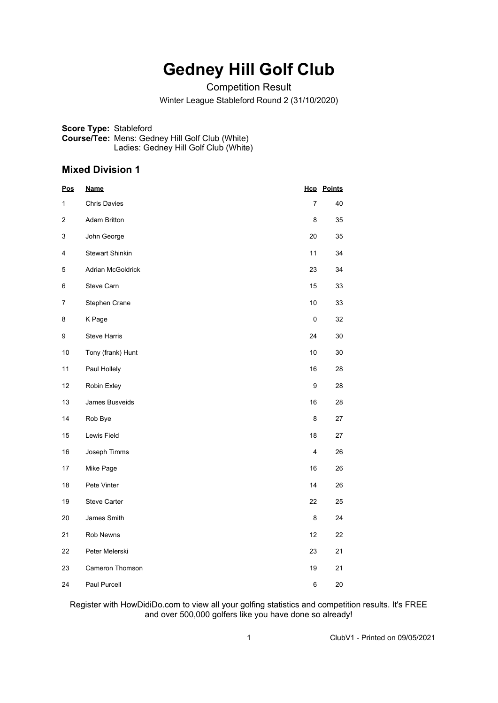# **Gedney Hill Golf Club**

Competition Result

Winter League Stableford Round 2 (31/10/2020)

**Score Type:** Stableford **Course/Tee:** Mens: Gedney Hill Golf Club (White) Ladies: Gedney Hill Golf Club (White)

### **Mixed Division 1**

| <u>Pos</u>     | <b>Name</b>              |                | <b>Hcp</b> Points |
|----------------|--------------------------|----------------|-------------------|
| 1              | <b>Chris Davies</b>      | $\overline{7}$ | 40                |
| $\overline{2}$ | <b>Adam Britton</b>      | 8              | 35                |
| 3              | John George              | 20             | 35                |
| 4              | <b>Stewart Shinkin</b>   | 11             | 34                |
| 5              | <b>Adrian McGoldrick</b> | 23             | 34                |
| 6              | Steve Carn               | 15             | 33                |
| $\overline{7}$ | Stephen Crane            | 10             | 33                |
| 8              | K Page                   | $\pmb{0}$      | 32                |
| 9              | <b>Steve Harris</b>      | 24             | 30                |
| 10             | Tony (frank) Hunt        | 10             | 30                |
| 11             | Paul Hollely             | 16             | 28                |
| 12             | Robin Exley              | 9              | 28                |
| 13             | James Busveids           | 16             | 28                |
| 14             | Rob Bye                  | 8              | 27                |
| 15             | Lewis Field              | 18             | 27                |
| 16             | Joseph Timms             | $\overline{4}$ | 26                |
| 17             | Mike Page                | 16             | 26                |
| 18             | Pete Vinter              | 14             | 26                |
| 19             | <b>Steve Carter</b>      | 22             | 25                |
| 20             | James Smith              | 8              | 24                |
| 21             | Rob Newns                | 12             | 22                |
| 22             | Peter Melerski           | 23             | 21                |
| 23             | Cameron Thomson          | 19             | 21                |
| 24             | Paul Purcell             | 6              | 20                |

Register with HowDidiDo.com to view all your golfing statistics and competition results. It's FREE and over 500,000 golfers like you have done so already!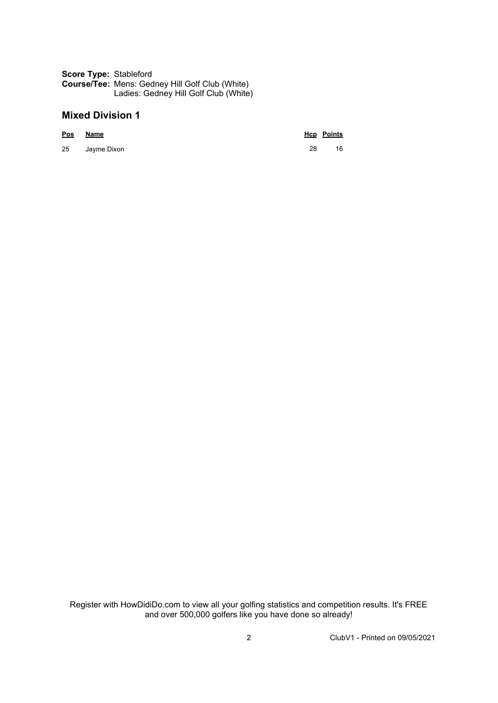#### **Score Type:** Stableford **Course/Tee:** Mens: Gedney Hill Golf Club (White) Ladies: Gedney Hill Golf Club (White)

## **Mixed Division 1**

|    | Pos Name    |    | <b>Hcp</b> Points |
|----|-------------|----|-------------------|
| 25 | Jayme Dixon | 28 | 16                |

Register with HowDidiDo.com to view all your golfing statistics and competition results. It's FREE and over 500,000 golfers like you have done so already!